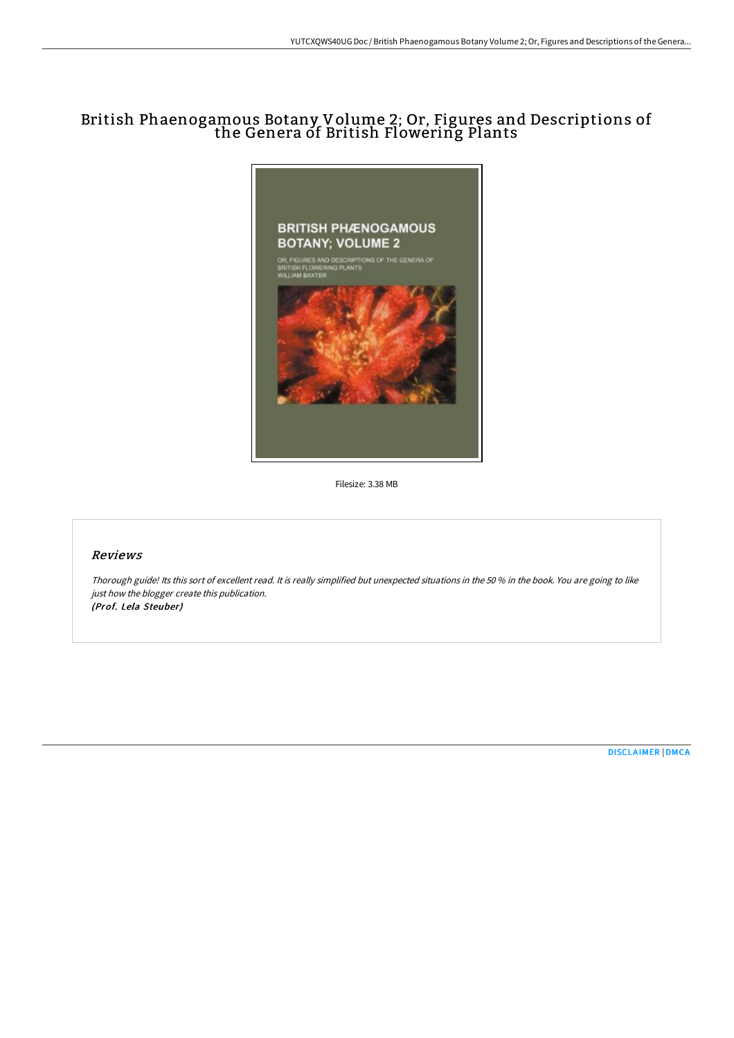# British Phaenogamous Botany Volume 2; Or, Figures and Descriptions of the Genera of British Flowering Plants



Filesize: 3.38 MB

# Reviews

Thorough guide! Its this sort of excellent read. It is really simplified but unexpected situations in the <sup>50</sup> % in the book. You are going to like just how the blogger create this publication. (Prof. Lela Steuber)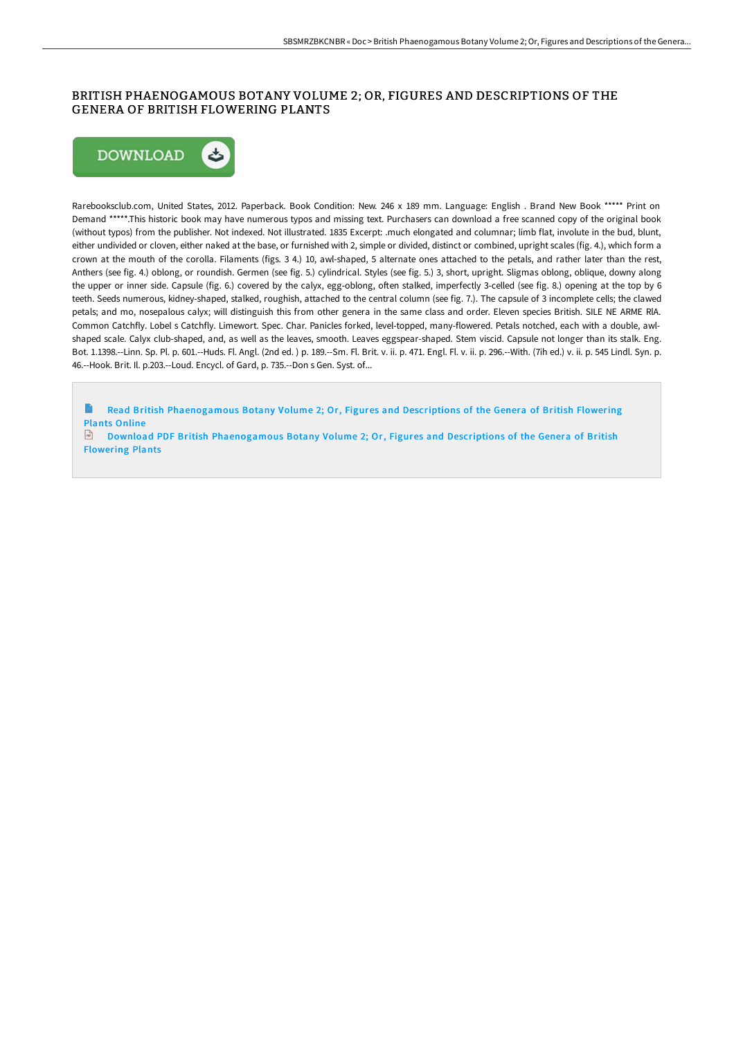### BRITISH PHAENOGAMOUS BOTANY VOLUME 2; OR, FIGURES AND DESCRIPTIONS OF THE GENERA OF BRITISH FLOWERING PLANTS



Rarebooksclub.com, United States, 2012. Paperback. Book Condition: New. 246 x 189 mm. Language: English . Brand New Book \*\*\*\*\* Print on Demand \*\*\*\*\*.This historic book may have numerous typos and missing text. Purchasers can download a free scanned copy of the original book (without typos) from the publisher. Not indexed. Not illustrated. 1835 Excerpt: .much elongated and columnar; limb flat, involute in the bud, blunt, either undivided or cloven, either naked at the base, or furnished with 2, simple or divided, distinct or combined, upright scales (fig. 4.), which form a crown at the mouth of the corolla. Filaments (figs. 3 4.) 10, awl-shaped, 5 alternate ones attached to the petals, and rather later than the rest, Anthers (see fig. 4.) oblong, or roundish. Germen (see fig. 5.) cylindrical. Styles (see fig. 5.) 3, short, upright. Sligmas oblong, oblique, downy along the upper or inner side. Capsule (fig. 6.) covered by the calyx, egg-oblong, often stalked, imperfectly 3-celled (see fig. 8.) opening at the top by 6 teeth. Seeds numerous, kidney-shaped, stalked, roughish, attached to the central column (see fig. 7.). The capsule of 3 incomplete cells; the clawed petals; and mo, nosepalous calyx; will distinguish this from other genera in the same class and order. Eleven species British. SILE NE ARME RlA. Common Catchfly. Lobel s Catchfly. Limewort. Spec. Char. Panicles forked, level-topped, many-flowered. Petals notched, each with a double, awlshaped scale. Calyx club-shaped, and, as well as the leaves, smooth. Leaves eggspear-shaped. Stem viscid. Capsule not longer than its stalk. Eng. Bot. 1.1398.--Linn. Sp. Pl. p. 601.--Huds. Fl. Angl. (2nd ed. ) p. 189.--Sm. Fl. Brit. v. ii. p. 471. Engl. Fl. v. ii. p. 296.--With. (7ih ed.) v. ii. p. 545 Lindl. Syn. p. 46.--Hook. Brit. Il. p.203.--Loud. Encycl. of Gard, p. 735.--Don s Gen. Syst. of...

 $\Rightarrow$ Read British [Phaenogamous](http://techno-pub.tech/british-phaenogamous-botany-volume-2-or-figures-.html) Botany Volume 2; Or, Figures and Descriptions of the Genera of British Flowering Plants Online

Download PDF British [Phaenogamous](http://techno-pub.tech/british-phaenogamous-botany-volume-2-or-figures-.html) Botany Volume 2; Or, Figures and Descriptions of the Genera of British Flowering Plants